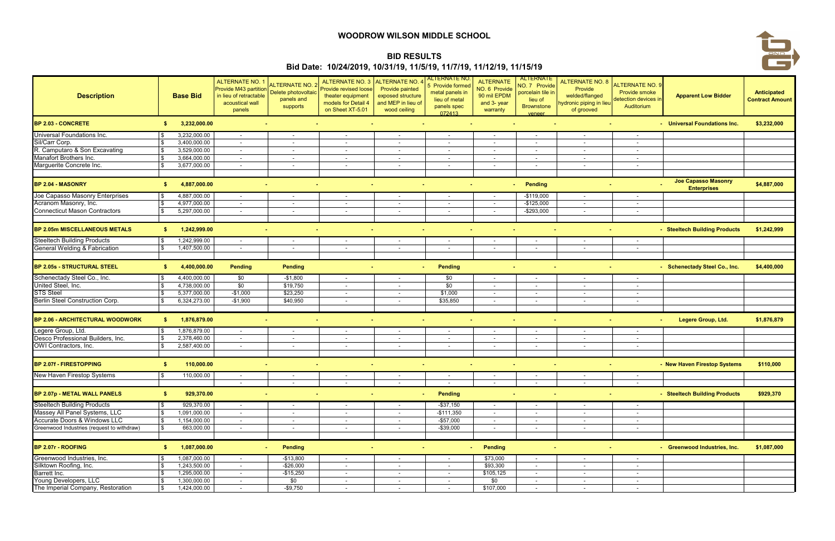| <b>Description</b>                         |    | <b>Base Bid</b> | <b>ALTERNATE NO. 1</b><br><b>Provide M43 partition</b><br>Delete photovoltaic<br>acoustical wall<br>panels | <b>ALTERNATE NO. 2</b><br>panels and<br>supports | <b>ALTERNATE NO. 3</b><br><b>Provide revised loose</b><br>theater equipment<br>models for Detail 4<br>on Sheet XT-5.01 | <b>ALTERNATE NO. 4</b><br>Provide painted<br>exposed structure<br>and MEP in lieu of<br>wood ceiling | <u>ALTERNATE NC</u><br>5 Provide formed<br>metal panels in<br>lieu of metal<br>panels spec<br>072413 | <b>ALTERNATE</b><br>NO. 6 Provide<br>90 mil EPDM<br>and 3- year<br>warranty | <b>ALTERNATE</b><br>NO. 7 Provide<br>porcelain tile in<br>lieu of<br><b>Brownstone</b><br>Veneer | <b>ALTERNATE NO. 8</b><br>Provide<br>welded/flanged<br>lydronic piping in lieu<br>of grooved | <b>ALTERNATE NO. 9</b><br><b>Provide smoke</b><br>detection devices in<br>Auditorium | <b>Apparent Low Bidder</b>                       | Anticipated<br><b>Contract Amount</b> |
|--------------------------------------------|----|-----------------|------------------------------------------------------------------------------------------------------------|--------------------------------------------------|------------------------------------------------------------------------------------------------------------------------|------------------------------------------------------------------------------------------------------|------------------------------------------------------------------------------------------------------|-----------------------------------------------------------------------------|--------------------------------------------------------------------------------------------------|----------------------------------------------------------------------------------------------|--------------------------------------------------------------------------------------|--------------------------------------------------|---------------------------------------|
| <b>BP 2.03 - CONCRETE</b>                  | S. | 3,232,000.00    |                                                                                                            |                                                  |                                                                                                                        |                                                                                                      |                                                                                                      |                                                                             |                                                                                                  |                                                                                              |                                                                                      | - Universal Foundations Inc.                     | \$3,232,000                           |
| Universal Foundations Inc.                 |    | 3,232,000.00    | $\sim$                                                                                                     | $\sim$                                           |                                                                                                                        | $\sim$                                                                                               | $\overline{\phantom{a}}$                                                                             | $\sim$                                                                      | $\overline{\phantom{a}}$                                                                         | $\sim$                                                                                       | $\sim$                                                                               |                                                  |                                       |
| Sil/Carr Corp.                             |    | 3,400,000.00    | $\sim$                                                                                                     | $\sim$                                           |                                                                                                                        |                                                                                                      | $\sim$                                                                                               | $\sim$                                                                      | $\overline{\phantom{a}}$                                                                         | $\sim$                                                                                       | $\sim$                                                                               |                                                  |                                       |
| R. Camputaro & Son Excavating              |    | 3,529,000.00    | $\sim$                                                                                                     | $\sim$                                           | $\sim$                                                                                                                 | $\sim$                                                                                               | $\sim$                                                                                               | $\sim$                                                                      | $\overline{\phantom{a}}$                                                                         | $\sim$                                                                                       | $\sim$                                                                               |                                                  |                                       |
| Manafort Brothers Inc.                     |    | 3,664,000.00    | $\sim$                                                                                                     | $\sim$                                           | $\sim$                                                                                                                 | $\sim$                                                                                               | $\sim$                                                                                               | $\sim$                                                                      | $\overline{\phantom{a}}$                                                                         | $\sim$                                                                                       | $\sim$                                                                               |                                                  |                                       |
| Marguerite Concrete Inc.                   |    | 3,677,000.00    | $\overline{\phantom{a}}$                                                                                   | $\overline{\phantom{a}}$                         |                                                                                                                        |                                                                                                      | $\blacksquare$                                                                                       |                                                                             | $\overline{\phantom{a}}$                                                                         | $\sim$                                                                                       |                                                                                      |                                                  |                                       |
| <b>BP 2.04 - MASONRY</b>                   | S. | 4,887,000.00    |                                                                                                            |                                                  |                                                                                                                        |                                                                                                      |                                                                                                      |                                                                             | <b>Pending</b><br><b>A</b>                                                                       |                                                                                              |                                                                                      | <b>Joe Capasso Masonry</b><br><b>Enterprises</b> | \$4,887,000                           |
| Joe Capasso Masonry Enterprises            |    | 4,887,000.00    | $\sim$                                                                                                     | $\sim$                                           |                                                                                                                        |                                                                                                      | $\blacksquare$                                                                                       |                                                                             | $-$119,000$                                                                                      | $\sim$                                                                                       | $\sim$                                                                               |                                                  |                                       |
| Acranom Masonry, Inc.                      |    | 4,977,000.00    | $\sim$                                                                                                     | $\sim$                                           |                                                                                                                        | $\sim$                                                                                               | $\sim$                                                                                               | $\sim$                                                                      | $-$125,000$                                                                                      | $\sim$                                                                                       | $\overline{\phantom{0}}$                                                             |                                                  |                                       |
| <b>Connecticut Mason Contractors</b>       |    | 5,297,000.00    | $\sim$                                                                                                     | $\sim$                                           | $\sim$                                                                                                                 | $\sim$                                                                                               | $\sim$                                                                                               | $\sim$                                                                      | $-$ \$293,000                                                                                    | $\sim$                                                                                       | $\sim$                                                                               |                                                  |                                       |
| <b>BP 2.05m MISCELLANEOUS METALS</b>       | S. | 1,242,999.00    |                                                                                                            |                                                  |                                                                                                                        |                                                                                                      | $\sim$                                                                                               |                                                                             | $\sim$                                                                                           |                                                                                              | $\sim$                                                                               | - Steeltech Building Products                    | \$1,242,999                           |
| <b>Steeltech Building Products</b>         |    | 1,242,999.00    | $\sim$                                                                                                     | $\sim$                                           | $\sim$                                                                                                                 | $\sim$                                                                                               | $\sim$                                                                                               | $\sim$                                                                      | $\overline{\phantom{a}}$                                                                         | $\sim$                                                                                       | $\sim$                                                                               |                                                  |                                       |
| General Welding & Fabrication              |    | 1,407,500.00    | $\sim$                                                                                                     | $\sim$                                           | $\sim$                                                                                                                 | $\sim$                                                                                               | $\sim$                                                                                               | $\sim$                                                                      | $\overline{\phantom{a}}$                                                                         | $\sim$                                                                                       | $\sim$                                                                               |                                                  |                                       |
|                                            |    |                 |                                                                                                            |                                                  |                                                                                                                        |                                                                                                      |                                                                                                      |                                                                             |                                                                                                  |                                                                                              |                                                                                      |                                                  |                                       |
| BP 2.05s - STRUCTURAL STEEL                | S. | 4,400,000.00    | <b>Pending</b>                                                                                             | <b>Pending</b>                                   |                                                                                                                        | and in                                                                                               | <b>Pending</b>                                                                                       |                                                                             |                                                                                                  |                                                                                              | $\sim$                                                                               | - Schenectady Steel Co., Inc.                    | \$4,400,000                           |
| Schenectady Steel Co., Inc.                |    | 4,400,000.00    | \$0                                                                                                        | $-$1,800$                                        | $\sim$                                                                                                                 | $\sim$                                                                                               | \$0                                                                                                  | $\sim$                                                                      | $\overline{\phantom{a}}$                                                                         | $\sim$                                                                                       | $\sim$                                                                               |                                                  |                                       |
| United Steel, Inc.                         |    | 4,738,000.00    | \$0                                                                                                        | \$19,750                                         | $\sim$                                                                                                                 | $\sim$                                                                                               | \$0                                                                                                  | $\sim$                                                                      | $\overline{\phantom{a}}$                                                                         | $\sim$                                                                                       | $\sim$                                                                               |                                                  |                                       |
| <b>STS Steel</b>                           |    | 5,377,000.00    | $-$1,000$                                                                                                  | \$23,250                                         | $\sim$                                                                                                                 | $\sim$                                                                                               | \$1,000                                                                                              | $\overline{\phantom{a}}$                                                    | $\overline{\phantom{a}}$                                                                         | $\sim$                                                                                       | $\overline{\phantom{a}}$                                                             |                                                  |                                       |
| Berlin Steel Construction Corp.            |    | 6,324,273.00    | $-$1,900$                                                                                                  | \$40,950                                         | $\sim$                                                                                                                 | $\sim$                                                                                               | \$35,850                                                                                             | $\sim$                                                                      | $\overline{\phantom{a}}$                                                                         | $\sim$                                                                                       | $\overline{\phantom{a}}$                                                             |                                                  |                                       |
|                                            |    |                 |                                                                                                            |                                                  |                                                                                                                        |                                                                                                      |                                                                                                      |                                                                             |                                                                                                  |                                                                                              |                                                                                      |                                                  |                                       |
| BP 2.06 - ARCHITECTURAL WOODWORK           | S. | 1,876,879.00    |                                                                                                            |                                                  |                                                                                                                        | <b>COL</b><br>$\sim$                                                                                 | $\sim$                                                                                               |                                                                             | $\sim$<br>$\sim$                                                                                 |                                                                                              | $\sim$<br>$\sim$                                                                     | Legere Group, Ltd.                               | \$1,876,879                           |
| Legere Group, Ltd.                         |    | 1,876,879.00    | $\sim$                                                                                                     | $\sim$                                           | $\sim$                                                                                                                 | $\sim$                                                                                               | $\sim$                                                                                               | $\sim$                                                                      | $\overline{\phantom{a}}$                                                                         | $\sim$                                                                                       | $\sim$                                                                               |                                                  |                                       |
| Desco Professional Builders, Inc.          |    | 2,378,460.00    | $\sim$                                                                                                     | $\sim$                                           | $\sim$                                                                                                                 | $\sim$                                                                                               | $\overline{\phantom{a}}$                                                                             | $\sim$                                                                      | $\overline{\phantom{a}}$                                                                         | $\sim$                                                                                       | $\sim$                                                                               |                                                  |                                       |
| OWI Contractors, Inc.                      |    | 2,587,400.00    | $\sim$                                                                                                     | $\sim$                                           | $\sim$                                                                                                                 | $\sim$                                                                                               | $\sim$                                                                                               | $\sim$                                                                      | $\overline{\phantom{a}}$                                                                         | $\sim$                                                                                       | $\overline{\phantom{a}}$                                                             |                                                  |                                       |
| <b>BP 2.07f - FIRESTOPPING</b>             | S. | 110,000.00      |                                                                                                            |                                                  |                                                                                                                        |                                                                                                      |                                                                                                      |                                                                             |                                                                                                  |                                                                                              |                                                                                      | - New Haven Firestop Systems                     | \$110,000                             |
| New Haven Firestop Systems                 |    | 110,000.00      | $\sim$                                                                                                     | $\overline{\phantom{a}}$                         | $\sim$                                                                                                                 | $\sim$                                                                                               | $\overline{\phantom{a}}$                                                                             | $\overline{a}$                                                              | $\overline{\phantom{a}}$                                                                         | $\sim$                                                                                       | $\sim$                                                                               |                                                  |                                       |
|                                            |    |                 | $\sim$                                                                                                     | $\sim$                                           | $\sim$                                                                                                                 | $\sim$                                                                                               | $\sim$                                                                                               | $\sim$                                                                      | $\sim$                                                                                           | $\sim$                                                                                       | $\sim$                                                                               |                                                  |                                       |
| BP 2.07p - METAL WALL PANELS               | S. | 929,370.00      |                                                                                                            |                                                  | $\sim$                                                                                                                 | $\sim$                                                                                               | Pending                                                                                              |                                                                             |                                                                                                  |                                                                                              | $\sim$                                                                               | - Steeltech Building Products                    | \$929,370                             |
| <b>Steeltech Building Products</b>         |    | 929,370.00      | $\sim$                                                                                                     | $\sim$                                           |                                                                                                                        | $\sim$                                                                                               | $-$ \$37,150                                                                                         | $\sim$                                                                      | $\sim$                                                                                           | $\sim$                                                                                       | $\sim$                                                                               |                                                  |                                       |
| Massey All Panel Systems, LLC              |    | 1,091,000.00    | $\sim$                                                                                                     | $\overline{\phantom{a}}$                         | $\sim$                                                                                                                 | $\sim$                                                                                               | $-$111,350$                                                                                          | $\sim$                                                                      | $\overline{\phantom{a}}$                                                                         | $\sim$                                                                                       | $\sim$                                                                               |                                                  |                                       |
| Accurate Doors & Windows LLC               |    | 1,154,000.00    | $\sim$                                                                                                     | $\sim$                                           | $\sim$                                                                                                                 | $\sim$                                                                                               | $-$ \$57,000                                                                                         | $\sim$                                                                      | $\overline{\phantom{a}}$                                                                         | $\sim$                                                                                       | $\overline{\phantom{a}}$                                                             |                                                  |                                       |
| Greenwood Industries (request to withdraw) |    | 663,000.00      | $\sim$                                                                                                     | $\sim$                                           | $\sim$                                                                                                                 | $\sim$                                                                                               | $-$ \$39,000                                                                                         | $\sim$                                                                      | $\overline{\phantom{a}}$                                                                         | $\sim$                                                                                       | $\sim$                                                                               |                                                  |                                       |
| BP 2.07r - ROOFING                         | \$ | 1,087,000.00    |                                                                                                            | <b>Pending</b><br>$\sim$                         |                                                                                                                        |                                                                                                      |                                                                                                      | <b>Pending</b><br><b>Service</b>                                            |                                                                                                  |                                                                                              | $\sim$                                                                               | - Greenwood Industries, Inc.                     | \$1,087,000                           |
| Greenwood Industries, Inc.                 |    | 1,087,000.00    | $\sim$                                                                                                     | $-$13,800$                                       | $\sim$                                                                                                                 | $\sim$                                                                                               | $\sim$                                                                                               | \$73,000                                                                    | $\sim$                                                                                           | $\sim$                                                                                       | $\sim$                                                                               |                                                  |                                       |
| Silktown Roofing, Inc.                     |    | 1,243,500.00    | $\sim$                                                                                                     | $-$26,000$                                       | $\sim$                                                                                                                 | $\sim$                                                                                               | $\sim$                                                                                               | \$93,300                                                                    | $\overline{\phantom{a}}$                                                                         | $\sim$                                                                                       | $\sim$                                                                               |                                                  |                                       |
| Barrett Inc.                               |    | 1,295,000.00    | $\sim$                                                                                                     | $-$15,250$                                       | $\sim$                                                                                                                 | $\sim$                                                                                               | $\sim$                                                                                               | \$105,125                                                                   | $\overline{\phantom{a}}$                                                                         | $\sim$                                                                                       | $\overline{\phantom{a}}$                                                             |                                                  |                                       |
| Young Developers, LLC                      |    | 1,300,000.00    | $\sim$                                                                                                     | \$0                                              | $\sim$                                                                                                                 | $\sim$                                                                                               | $\sim$                                                                                               | \$0                                                                         | $\overline{\phantom{a}}$                                                                         | $\sim$                                                                                       | $\sim$                                                                               |                                                  |                                       |
| The Imperial Company, Restoration          |    | 1,424,000.00    | $\sim$                                                                                                     | $-$9,750$                                        | $\sim$                                                                                                                 | $\sim$                                                                                               | $\sim$                                                                                               | \$107,000                                                                   | $\sim$                                                                                           | $\sim$                                                                                       | $\overline{\phantom{a}}$                                                             |                                                  |                                       |

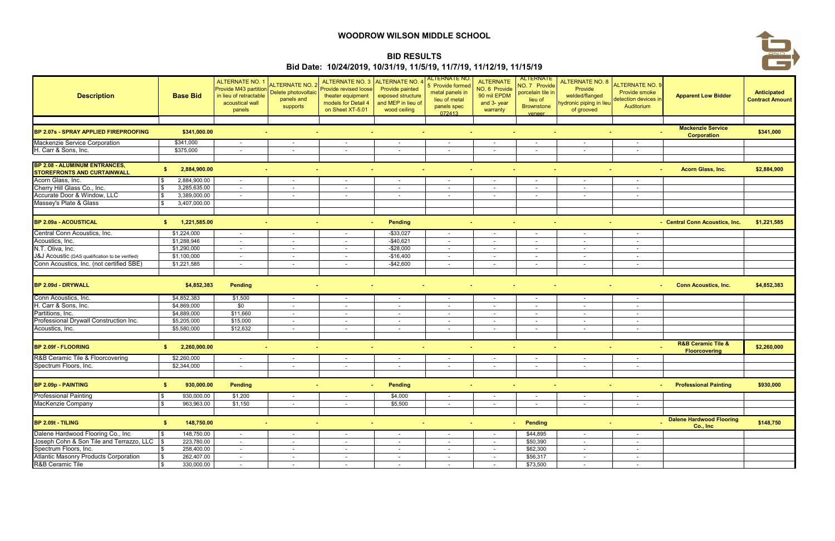| <b>Description</b>                                                          | <b>Base Bid</b>            | <b>ALTERNATE NO. 1</b><br><b>Provide M43 partition</b><br>Delete photovoltaic<br>acoustical wall<br>panels | <b>ALTERNATE NO. 2</b><br>panels and<br>supports | ALTERNATE NO. 3<br><b>Provide revised loose</b><br>theater equipment<br>models for Detail 4<br>on Sheet XT-5.01 | <b>ALTERNATE NO. 4</b><br>Provide painted<br>exposed structure<br>and MEP in lieu of<br>wood ceiling | <u>ALTERNATE NO</u><br>5 Provide formed<br>metal panels in<br>lieu of metal<br>panels spec<br>072413 | <b>ALTERNATE</b><br>NO. 6 Provide<br>90 mil EPDM<br>and 3- year<br>warranty | <b>ALTERNATE</b><br>NO. 7 Provide<br>porcelain tile in<br>lieu of<br><b>Brownstone</b><br>veneer | <b>ALTERNATE NO. 8</b><br>Provide<br>welded/flanged<br>lydronic piping in lieu<br>of grooved | ALTERNATE NO. 9<br><b>Provide smoke</b><br>detection devices in<br>Auditorium | <b>Apparent Low Bidder</b>                                | Anticipated<br><b>Contract Amount</b> |
|-----------------------------------------------------------------------------|----------------------------|------------------------------------------------------------------------------------------------------------|--------------------------------------------------|-----------------------------------------------------------------------------------------------------------------|------------------------------------------------------------------------------------------------------|------------------------------------------------------------------------------------------------------|-----------------------------------------------------------------------------|--------------------------------------------------------------------------------------------------|----------------------------------------------------------------------------------------------|-------------------------------------------------------------------------------|-----------------------------------------------------------|---------------------------------------|
|                                                                             |                            |                                                                                                            |                                                  |                                                                                                                 |                                                                                                      |                                                                                                      |                                                                             |                                                                                                  |                                                                                              |                                                                               | <b>Mackenzie Service</b>                                  |                                       |
| BP 2.07s - SPRAY APPLIED FIREPROOFING                                       | \$341,000.00               |                                                                                                            |                                                  |                                                                                                                 |                                                                                                      |                                                                                                      | $\sim$                                                                      |                                                                                                  |                                                                                              |                                                                               | <b>Corporation</b>                                        | \$341,000                             |
| Mackenzie Service Corporation                                               | \$341,000                  | $\sim$                                                                                                     |                                                  |                                                                                                                 |                                                                                                      |                                                                                                      |                                                                             | $\overline{\phantom{a}}$                                                                         |                                                                                              |                                                                               |                                                           |                                       |
| H. Carr & Sons, Inc.                                                        | \$375,000                  | $\sim$                                                                                                     | $\sim$                                           | $\sim$                                                                                                          | $\sim$                                                                                               | $\overline{\phantom{a}}$                                                                             | $\sim$                                                                      | $\overline{\phantom{a}}$                                                                         | $\sim$                                                                                       | $\overline{\phantom{a}}$                                                      |                                                           |                                       |
| <b>BP 2.08 - ALUMINUM ENTRANCES,</b><br><b>STOREFRONTS AND CURTAINWALL</b>  | 2,884,900.00<br>S.         |                                                                                                            | ×.                                               | $\sim$<br>ж.                                                                                                    | reality of                                                                                           |                                                                                                      |                                                                             |                                                                                                  |                                                                                              |                                                                               | Acorn Glass, Inc.                                         | \$2,884,900                           |
| Acorn Glass, Inc.                                                           | 2,884,900.00               | $\sim$                                                                                                     | $\sim$                                           | $\sim$                                                                                                          | $\sim$                                                                                               | $\sim$                                                                                               | $\overline{\phantom{0}}$                                                    | $\overline{\phantom{a}}$                                                                         | $\sim$                                                                                       | $\sim$                                                                        |                                                           |                                       |
| Cherry Hill Glass Co., Inc.                                                 | 3,285,635.00               | $\sim$                                                                                                     | $\overline{\phantom{a}}$                         |                                                                                                                 |                                                                                                      | $\overline{\phantom{a}}$                                                                             |                                                                             | $\overline{\phantom{a}}$                                                                         | $\sim$                                                                                       | $\overline{\phantom{a}}$                                                      |                                                           |                                       |
| Accurate Door & Window, LLC                                                 | 3,389,000.00               | $\sim$                                                                                                     | $\sim$                                           | $\sim$                                                                                                          | $\sim$                                                                                               | $\sim$                                                                                               | $\overline{a}$                                                              | $\overline{\phantom{a}}$                                                                         | $\sim$                                                                                       | $\sim$                                                                        |                                                           |                                       |
| Massey's Plate & Glass                                                      | 3,407,000.00               |                                                                                                            |                                                  |                                                                                                                 |                                                                                                      |                                                                                                      |                                                                             |                                                                                                  |                                                                                              |                                                                               |                                                           |                                       |
| <b>BP 2.09a - ACOUSTICAL</b>                                                | 1,221,585.00<br>S.         |                                                                                                            |                                                  | $\sim$<br>r and                                                                                                 | <b>Pending</b>                                                                                       |                                                                                                      |                                                                             | . н.                                                                                             |                                                                                              | $\sim$                                                                        | - Central Conn Acoustics, Inc.                            | \$1,221,585                           |
| Central Conn Acoustics, Inc.                                                | \$1,224,000                | $\sim$                                                                                                     | $\sim$                                           | $\sim$                                                                                                          | $-$ \$33,027                                                                                         | $\overline{\phantom{a}}$                                                                             | $\sim$                                                                      | $\overline{\phantom{a}}$                                                                         | $\sim$                                                                                       | $\sim$                                                                        |                                                           |                                       |
| Acoustics, Inc.                                                             | \$1,288,946                | $\sim$                                                                                                     | $\overline{\phantom{a}}$                         |                                                                                                                 | -\$40,621                                                                                            | $\sim$                                                                                               | $\sim$                                                                      | $\overline{\phantom{a}}$                                                                         | $\sim$                                                                                       | $\sim$                                                                        |                                                           |                                       |
| N.T. Oliva, Inc.                                                            | \$1,290,000                | $\sim$                                                                                                     | $\sim$                                           | $\sim$                                                                                                          | $-$28,000$                                                                                           | $\sim$                                                                                               | $\sim$                                                                      | $\sim$                                                                                           | $\sim$                                                                                       | $\sim$                                                                        |                                                           |                                       |
| J&J Acoustic (DAS qualification to be verified)                             | \$1,100,000                | $\sim$                                                                                                     | $\sim$                                           | $\sim$                                                                                                          | $-$16,400$                                                                                           | $\sim$                                                                                               | $\sim$                                                                      | $\overline{\phantom{a}}$                                                                         | $\sim$                                                                                       | $\sim$                                                                        |                                                           |                                       |
| Conn Acoustics, Inc. (not certified SBE)                                    | \$1,221,585                | $\sim$                                                                                                     | $\overline{\phantom{a}}$                         |                                                                                                                 | $-$42,600$                                                                                           | $\overline{\phantom{a}}$                                                                             |                                                                             |                                                                                                  | $\sim$                                                                                       |                                                                               |                                                           |                                       |
| BP 2.09d - DRYWALL                                                          | \$4,852,383                | Pending                                                                                                    |                                                  |                                                                                                                 |                                                                                                      |                                                                                                      |                                                                             |                                                                                                  |                                                                                              |                                                                               | <b>Conn Acoustics, Inc.</b>                               | \$4,852,383                           |
| Conn Acoustics, Inc.                                                        | \$4,852,383                | \$1,500                                                                                                    | $\sim$                                           | $\sim$                                                                                                          | $\sim$                                                                                               | $\sim$                                                                                               | $\sim$                                                                      | $\overline{\phantom{a}}$                                                                         | $\sim$                                                                                       | $\sim$                                                                        |                                                           |                                       |
| H. Carr & Sons, Inc.                                                        | \$4,869,000                | \$0                                                                                                        | $\sim$                                           | $\sim$                                                                                                          | $\sim$                                                                                               | $\sim$                                                                                               | $\sim$                                                                      | $\sim$                                                                                           | $\sim$                                                                                       | $\sim$                                                                        |                                                           |                                       |
| Partitions, Inc.                                                            | \$4,889,000                | \$11,660                                                                                                   | $\sim$                                           | $\sim$                                                                                                          | $\sim$                                                                                               | $\overline{\phantom{a}}$                                                                             | $\overline{a}$                                                              | $\sim$                                                                                           | $\sim$                                                                                       | $\overline{\phantom{a}}$                                                      |                                                           |                                       |
| Professional Drywall Construction Inc.<br>Acoustics, Inc.                   | \$5,205,000<br>\$5,580,000 | \$15,000<br>\$12,632                                                                                       | $\overline{\phantom{a}}$                         | $\sim$                                                                                                          |                                                                                                      | $\sim$                                                                                               | $\sim$                                                                      | $\overline{\phantom{a}}$                                                                         | $\sim$                                                                                       | $\sim$                                                                        |                                                           |                                       |
|                                                                             |                            |                                                                                                            | $\sim$                                           | $\sim$                                                                                                          | $\sim$                                                                                               | $\overline{\phantom{a}}$                                                                             | $\sim$                                                                      | $\overline{\phantom{a}}$                                                                         | $\sim$                                                                                       | $\sim$                                                                        |                                                           |                                       |
| <b>BP 2.09f - FLOORING</b>                                                  | 2,260,000.00<br>S.         |                                                                                                            |                                                  | <b>College</b><br>$\sim$                                                                                        | <b>Contract</b>                                                                                      |                                                                                                      |                                                                             |                                                                                                  |                                                                                              |                                                                               | <b>R&amp;B Ceramic Tile &amp;</b><br><b>Floorcovering</b> | \$2,260,000                           |
| R&B Ceramic Tile & Floorcovering                                            | \$2,260,000                | $\sim$                                                                                                     | $\sim$                                           | $\sim$                                                                                                          | $\sim$                                                                                               | $\sim$                                                                                               | $\sim$                                                                      | $\sim$                                                                                           | $\sim$                                                                                       | $\sim$                                                                        |                                                           |                                       |
| Spectrum Floors, Inc.                                                       | \$2,344,000                | $\sim$                                                                                                     | $\sim$                                           | $\sim$                                                                                                          | $\sim$                                                                                               | $\sim$                                                                                               | $\sim$                                                                      | $\sim$                                                                                           | $\sim$                                                                                       | $\sim$                                                                        |                                                           |                                       |
| BP 2.09p - PAINTING                                                         | 930,000.00<br>\$           | <b>Pending</b>                                                                                             |                                                  | $\sim$                                                                                                          | Pending                                                                                              |                                                                                                      |                                                                             | co.<br>$\sim$                                                                                    |                                                                                              |                                                                               | <b>Professional Painting</b>                              | \$930,000                             |
| <b>Professional Painting</b>                                                | 930,000.00                 | \$1,200                                                                                                    | $\sim$                                           | $\sim$                                                                                                          | \$4,000                                                                                              | $\sim$                                                                                               | $\sim$                                                                      | $\sim$                                                                                           | $\sim$ $-$                                                                                   | $\sim$                                                                        |                                                           |                                       |
| MacKenzie Company                                                           | 963,963.00<br>\$           | \$1,150                                                                                                    | $\sim$                                           | $\sim$                                                                                                          | \$5,500                                                                                              | $\sim$                                                                                               | $\sim$                                                                      | $\overline{\phantom{a}}$                                                                         | $\sim$                                                                                       | $\sim$                                                                        |                                                           |                                       |
|                                                                             |                            |                                                                                                            |                                                  |                                                                                                                 |                                                                                                      |                                                                                                      |                                                                             |                                                                                                  |                                                                                              |                                                                               |                                                           |                                       |
| BP 2.09t - TILING                                                           | 148,750.00<br>\$           |                                                                                                            |                                                  | $\sim$<br>a m                                                                                                   | and in                                                                                               | $\sim$                                                                                               |                                                                             | <b>Pending</b><br>$\sim 100$                                                                     |                                                                                              |                                                                               | <b>Dalene Hardwood Flooring</b><br>Co., Inc               | \$148,750                             |
| Dalene Hardwood Flooring Co., Inc                                           | 148,750.00                 | $\sim$                                                                                                     | $\sim$                                           |                                                                                                                 | $\sim$                                                                                               | $\overline{\phantom{a}}$                                                                             | $\sim$                                                                      | \$44,895                                                                                         | $\sim$                                                                                       | $\sim$                                                                        |                                                           |                                       |
| Joseph Cohn & Son Tile and Terrazzo, LLC                                    | 223,780.00<br><b>S</b>     | $\sim$                                                                                                     | $\overline{\phantom{a}}$                         | $\sim$                                                                                                          | $\sim$                                                                                               | $\sim$                                                                                               | $\sim$                                                                      | \$50,390                                                                                         | $\sim$                                                                                       | $\sim$                                                                        |                                                           |                                       |
| Spectrum Floors, Inc.                                                       | 258,400.00                 | $\sim$                                                                                                     | $\sim$                                           | $\sim$                                                                                                          | $\sim$                                                                                               | $\sim$                                                                                               | $\sim$                                                                      | \$62,300                                                                                         | $\sim$                                                                                       | $\sim$                                                                        |                                                           |                                       |
| <b>Atlantic Masonry Products Corporation</b><br><b>R&amp;B Ceramic Tile</b> | 262,407.00<br>330,000.00   | $\sim$                                                                                                     | $\overline{\phantom{a}}$                         | $\sim$                                                                                                          | $\sim$                                                                                               | $\sim$                                                                                               | $\sim$                                                                      | \$56,317<br>\$73,500                                                                             | $\sim$                                                                                       | $\overline{\phantom{a}}$                                                      |                                                           |                                       |
|                                                                             |                            | $\sim$                                                                                                     | $\overline{\phantom{a}}$                         | $\sim$                                                                                                          | $\sim$                                                                                               | $\sim$                                                                                               | $\sim$                                                                      |                                                                                                  | $\sim$                                                                                       | $\overline{\phantom{a}}$                                                      |                                                           |                                       |

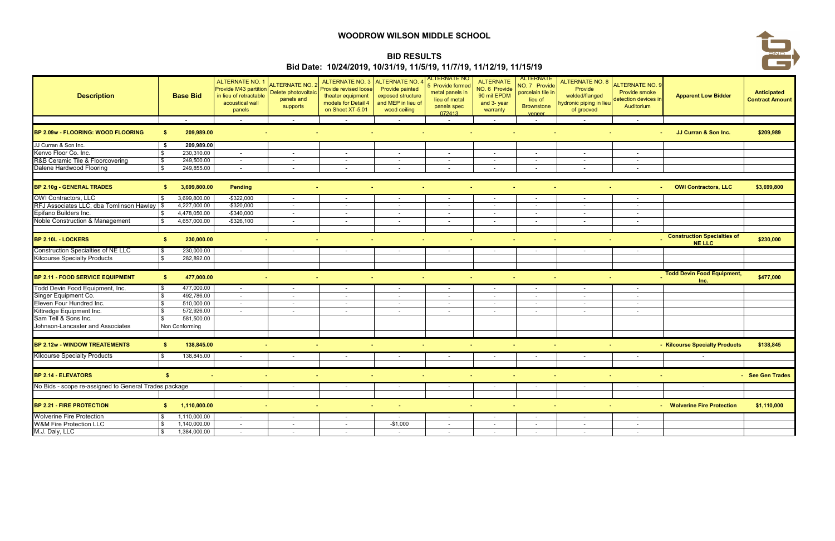| <b>Description</b>                                    | <b>Base Bid</b>    | <b>ALTERNATE NO. 1</b><br>Provide M43 partition<br>in lieu of retractable<br>acoustical wall<br>panels | <b>NLTERNATE NO.</b><br>Delete photovoltaic<br>panels and<br>supports | <b>ALTERNATE NO. 3</b><br>Provide revised loose<br>theater equipment<br>models for Detail 4<br>on Sheet XT-5.01 | ALTERNATE NO.<br><b>Provide painted</b><br>exposed structure<br>and MEP in lieu of<br>wood ceiling | <b>ALTERNATE NO</b><br>5 Provide formed<br>metal panels in<br>lieu of metal<br>panels spec<br>072413 | <b>ALTERNATE</b><br>NO. 6 Provide<br>90 mil EPDM<br>and 3- year<br>warranty | ALTERNATE<br>NO. 7 Provide<br>porcelain tile in<br>lieu of<br><b>Brownstone</b><br>veneer | <b>ALTERNATE NO. 8</b><br>Provide<br>welded/flanged<br>hydronic piping in lieu<br>of grooved | ALTERNATE NO. 9<br>Provide smoke<br>detection devices in<br>Auditorium | <b>Apparent Low Bidder</b>                          | Anticipated<br><b>Contract Amount</b> |
|-------------------------------------------------------|--------------------|--------------------------------------------------------------------------------------------------------|-----------------------------------------------------------------------|-----------------------------------------------------------------------------------------------------------------|----------------------------------------------------------------------------------------------------|------------------------------------------------------------------------------------------------------|-----------------------------------------------------------------------------|-------------------------------------------------------------------------------------------|----------------------------------------------------------------------------------------------|------------------------------------------------------------------------|-----------------------------------------------------|---------------------------------------|
|                                                       | $\sim$             | $\sim$                                                                                                 | $\overline{\phantom{a}}$                                              | $\sim$                                                                                                          | $\sim$                                                                                             | $\overline{\phantom{a}}$                                                                             | $\sim$                                                                      | $\overline{\phantom{a}}$                                                                  | $\overline{\phantom{a}}$                                                                     | $\sim$                                                                 |                                                     |                                       |
| BP 2.09w - FLOORING: WOOD FLOORING                    | 209,989.00<br>-SI  |                                                                                                        |                                                                       |                                                                                                                 |                                                                                                    |                                                                                                      |                                                                             |                                                                                           |                                                                                              |                                                                        | JJ Curran & Son Inc.                                | \$209,989                             |
| JJ Curran & Son Inc.                                  | 209,989.00<br>S.   |                                                                                                        |                                                                       |                                                                                                                 |                                                                                                    |                                                                                                      |                                                                             |                                                                                           |                                                                                              |                                                                        |                                                     |                                       |
| Kenvo Floor Co. Inc.                                  | 230,310.00         | $\sim$                                                                                                 | $\overline{\phantom{a}}$                                              | $\sim$                                                                                                          | $\sim$                                                                                             | $\blacksquare$                                                                                       | $\sim$                                                                      | $\sim$                                                                                    | $\sim$                                                                                       | $\sim$                                                                 |                                                     |                                       |
| R&B Ceramic Tile & Floorcovering                      | 249,500.00         | $\sim$                                                                                                 | $\overline{\phantom{a}}$                                              | $\sim$                                                                                                          | $\sim$                                                                                             | $\overline{\phantom{a}}$                                                                             | $\overline{\phantom{a}}$                                                    | $\overline{\phantom{a}}$                                                                  | $\overline{\phantom{a}}$                                                                     | $\overline{\phantom{a}}$                                               |                                                     |                                       |
| Dalene Hardwood Flooring                              | 249,855.00         | $\sim$                                                                                                 | $\overline{\phantom{a}}$                                              |                                                                                                                 |                                                                                                    |                                                                                                      |                                                                             |                                                                                           | $\sim$                                                                                       | $\overline{\phantom{a}}$                                               |                                                     |                                       |
| BP 2.10g - GENERAL TRADES                             | 3,699,800.00<br>S. | <b>Pending</b>                                                                                         |                                                                       |                                                                                                                 |                                                                                                    | ٠                                                                                                    |                                                                             |                                                                                           |                                                                                              |                                                                        | <b>OWI Contractors, LLC</b>                         | \$3,699,800                           |
| <b>OWI Contractors, LLC</b>                           | 3,699,800.00       | $-$ \$322,000                                                                                          | $\overline{\phantom{a}}$                                              | $\overline{\phantom{a}}$                                                                                        |                                                                                                    | $\overline{\phantom{a}}$                                                                             | $\sim$                                                                      | $\overline{\phantom{a}}$                                                                  | $\sim$                                                                                       | $\sim$                                                                 |                                                     |                                       |
| RFJ Associates LLC, dba Tomlinson Hawley   \$         | 4,227,000.00       | $-$ \$320,000                                                                                          | $\overline{\phantom{a}}$                                              |                                                                                                                 | $\overline{\phantom{0}}$                                                                           | $\overline{\phantom{a}}$                                                                             | $\sim$                                                                      | $\overline{\phantom{a}}$                                                                  | $\overline{\phantom{a}}$                                                                     | $\overline{\phantom{a}}$                                               |                                                     |                                       |
| Epifano Builders Inc.                                 | 4,478,050.00       | $-$ \$340,000                                                                                          | $\overline{\phantom{a}}$                                              |                                                                                                                 | $\sim$                                                                                             | $\overline{\phantom{a}}$                                                                             | $\overline{\phantom{a}}$                                                    | $\overline{\phantom{a}}$                                                                  | $\overline{\phantom{a}}$                                                                     | $\overline{\phantom{a}}$                                               |                                                     |                                       |
| Noble Construction & Management                       | 4,657,000.00       | $-$ \$326,100                                                                                          | $\overline{\phantom{a}}$                                              | $\overline{\phantom{a}}$                                                                                        |                                                                                                    | $\overline{\phantom{a}}$                                                                             | $\overline{\phantom{0}}$                                                    | $\overline{\phantom{a}}$                                                                  | $\overline{\phantom{a}}$                                                                     | $\sim$                                                                 |                                                     |                                       |
| <b>BP 2.10L - LOCKERS</b>                             | 230,000.00<br>-SS  |                                                                                                        |                                                                       |                                                                                                                 |                                                                                                    | $\sim$                                                                                               |                                                                             |                                                                                           |                                                                                              |                                                                        | <b>Construction Specialties of</b><br><b>NE LLC</b> | \$230,000                             |
| <b>Construction Specialties of NE LLC</b>             | 230,000.00         | $\sim$                                                                                                 | $\sim$                                                                | $\overline{\phantom{a}}$                                                                                        | $\sim$                                                                                             | $\overline{\phantom{a}}$                                                                             | $\overline{a}$                                                              | $\sim$                                                                                    | $\sim$                                                                                       | $\sim$                                                                 |                                                     |                                       |
| <b>Kilcourse Specialty Products</b>                   | 282,892.00         |                                                                                                        |                                                                       |                                                                                                                 |                                                                                                    |                                                                                                      |                                                                             |                                                                                           |                                                                                              |                                                                        |                                                     |                                       |
|                                                       |                    |                                                                                                        |                                                                       |                                                                                                                 |                                                                                                    |                                                                                                      |                                                                             |                                                                                           |                                                                                              |                                                                        |                                                     |                                       |
| <b>BP 2.11 - FOOD SERVICE EQUIPMENT</b>               | 477,000.00<br>- \$ |                                                                                                        |                                                                       | $\sim$                                                                                                          | $\sim$                                                                                             |                                                                                                      |                                                                             |                                                                                           |                                                                                              |                                                                        | <b>Todd Devin Food Equipment,</b><br>Inc.           | \$477,000                             |
| Todd Devin Food Equipment, Inc.                       | 477,000.00         | $\sim$                                                                                                 | $\overline{\phantom{a}}$                                              | $\overline{\phantom{a}}$                                                                                        |                                                                                                    | $\overline{\phantom{a}}$                                                                             | $\sim$                                                                      |                                                                                           | $\overline{\phantom{a}}$                                                                     | $\sim$                                                                 |                                                     |                                       |
| Singer Equipment Co.                                  | 492,786.00         | $\sim$                                                                                                 | $\overline{\phantom{a}}$                                              |                                                                                                                 | $\overline{\phantom{0}}$                                                                           | $\overline{\phantom{a}}$                                                                             | $\overline{\phantom{0}}$                                                    | $\overline{\phantom{a}}$                                                                  | $\overline{\phantom{a}}$                                                                     | $\overline{\phantom{a}}$                                               |                                                     |                                       |
| Eleven Four Hundred Inc.                              | 510,000.00         | $\overline{\phantom{a}}$                                                                               | $\overline{\phantom{a}}$                                              |                                                                                                                 | $\overline{\phantom{0}}$                                                                           | $\overline{\phantom{a}}$                                                                             | $\sim$                                                                      | $\overline{\phantom{a}}$                                                                  | $\overline{\phantom{a}}$                                                                     | $\overline{\phantom{a}}$                                               |                                                     |                                       |
| Kittredge Equipment Inc.                              | 572,926.00         | $\sim$                                                                                                 | $\overline{\phantom{a}}$                                              |                                                                                                                 |                                                                                                    | $\overline{\phantom{a}}$                                                                             | $\overline{\phantom{0}}$                                                    | $\overline{\phantom{a}}$                                                                  | $\overline{\phantom{a}}$                                                                     | $\sim$                                                                 |                                                     |                                       |
| Sam Tell & Sons Inc.                                  | 581,500.00         |                                                                                                        |                                                                       |                                                                                                                 |                                                                                                    |                                                                                                      |                                                                             |                                                                                           |                                                                                              |                                                                        |                                                     |                                       |
| Johnson-Lancaster and Associates                      | Non Conforming     |                                                                                                        |                                                                       |                                                                                                                 |                                                                                                    |                                                                                                      |                                                                             |                                                                                           |                                                                                              |                                                                        |                                                     |                                       |
| <b>BP 2.12w - WINDOW TREATEMENTS</b>                  | 138,845.00<br>-SI  |                                                                                                        |                                                                       |                                                                                                                 | $\sim$                                                                                             |                                                                                                      |                                                                             |                                                                                           |                                                                                              |                                                                        | - Kilcourse Specialty Products                      | \$138,845                             |
| <b>Kilcourse Specialty Products</b>                   | 138,845.00         | $\sim$                                                                                                 | $\overline{\phantom{a}}$                                              |                                                                                                                 |                                                                                                    |                                                                                                      | $\sim$                                                                      | $\sim$                                                                                    |                                                                                              | $\sim$                                                                 |                                                     |                                       |
| <b>BP 2.14 - ELEVATORS</b>                            |                    |                                                                                                        |                                                                       |                                                                                                                 |                                                                                                    |                                                                                                      |                                                                             |                                                                                           | $\sim$                                                                                       |                                                                        |                                                     | - See Gen Trades                      |
| No Bids - scope re-assigned to General Trades package |                    | $\sim$                                                                                                 | $\sim$                                                                | $\sim$                                                                                                          | $\sim$                                                                                             | $\sim$                                                                                               | $\sim$                                                                      | $\sim$                                                                                    | $\sim$                                                                                       | $\sim$                                                                 | $\sim$                                              |                                       |
|                                                       |                    |                                                                                                        |                                                                       |                                                                                                                 |                                                                                                    |                                                                                                      |                                                                             |                                                                                           |                                                                                              |                                                                        |                                                     |                                       |
| BP 2.21 - FIRE PROTECTION                             | 1,110,000.00<br>S. |                                                                                                        | $\sim$<br>$\sim$                                                      | $\sim$                                                                                                          | $\sim$                                                                                             |                                                                                                      |                                                                             | $\sim$<br>$\sim$                                                                          | $\sim$                                                                                       |                                                                        | - Wolverine Fire Protection                         | \$1,110,000                           |
| <b>Wolverine Fire Protection</b>                      | 1,110,000.00       | $\sim$                                                                                                 | $\sim$                                                                | $\sim$                                                                                                          | $\sim$                                                                                             | $\sim$                                                                                               | $\sim$                                                                      | $\sim$                                                                                    | $\sim$                                                                                       | $\sim$                                                                 |                                                     |                                       |
| <b>W&amp;M Fire Protection LLC</b>                    | 1,140,000.00       | $\sim$                                                                                                 | $\overline{\phantom{a}}$                                              | $\sim$                                                                                                          | $-$1,000$                                                                                          | $\sim$                                                                                               | $\sim$                                                                      | $\sim$                                                                                    | $\sim$                                                                                       | $\sim$                                                                 |                                                     |                                       |
| M.J. Daly, LLC                                        | 1,384,000.00       | $\sim$                                                                                                 | $\sim$                                                                | $\sim$                                                                                                          | $\sim$                                                                                             | $\sim$                                                                                               | $\sim$                                                                      | $\sim$                                                                                    | $\sim$                                                                                       | $\sim$                                                                 |                                                     |                                       |

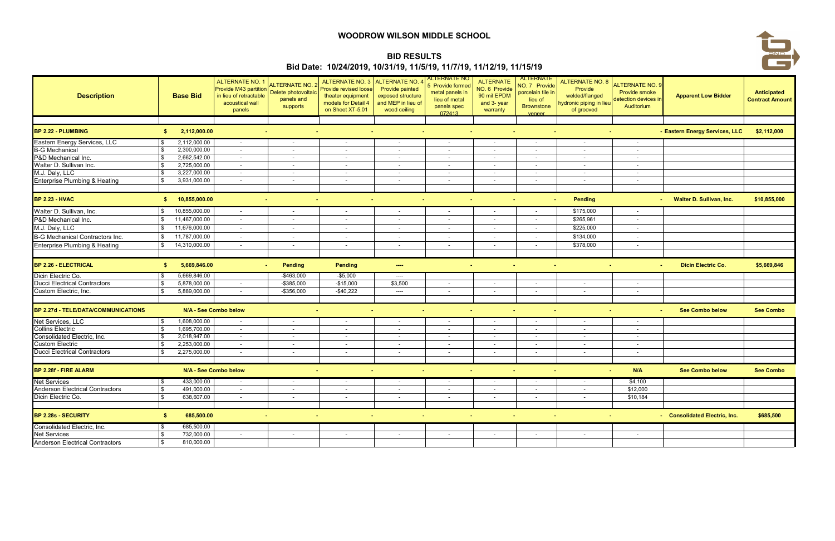| <b>Description</b>                         |     | <b>Base Bid</b>       | <b>ALTERNATE NO. 1</b><br>Provide M43 partition<br>in lieu of retractable<br>acoustical wall<br>panels | <b>ALTERNATE NO. 2</b><br>Delete photovoltaic<br>panels and<br>supports | <b>ALTERNATE NO. 3</b><br>Provide revised loose<br>theater equipment<br>models for Detail 4<br>on Sheet XT-5.01 | <b>ALTERNATE NO.</b><br><b>Provide painted</b><br>exposed structure<br>and MEP in lieu of<br>wood ceiling | <b>ALTERNATE NO.</b><br>5 Provide formed<br>metal panels in<br>lieu of metal<br>panels spec<br>072413 | <b>ALTERNATE</b><br>NO. 6 Provide<br>90 mil EPDM<br>and 3- year<br>warranty | ALTERNATE<br>NO. 7 Provide<br>porcelain tile ir<br>lieu of<br><b>Brownstone</b><br>veneer | <b>ALTERNATE NO. 8</b><br>Provide<br>welded/flanged<br>lydronic piping in lieu<br>of grooved | ALTERNATE NO. 9<br>Provide smoke<br>detection devices in<br>Auditorium | <b>Apparent Low Bidder</b>      | Anticipated<br><b>Contract Amount</b> |
|--------------------------------------------|-----|-----------------------|--------------------------------------------------------------------------------------------------------|-------------------------------------------------------------------------|-----------------------------------------------------------------------------------------------------------------|-----------------------------------------------------------------------------------------------------------|-------------------------------------------------------------------------------------------------------|-----------------------------------------------------------------------------|-------------------------------------------------------------------------------------------|----------------------------------------------------------------------------------------------|------------------------------------------------------------------------|---------------------------------|---------------------------------------|
|                                            |     |                       |                                                                                                        |                                                                         |                                                                                                                 |                                                                                                           |                                                                                                       |                                                                             |                                                                                           |                                                                                              |                                                                        |                                 |                                       |
| BP 2.22 - PLUMBING                         | S.  | 2,112,000.00          |                                                                                                        |                                                                         |                                                                                                                 |                                                                                                           |                                                                                                       |                                                                             |                                                                                           |                                                                                              |                                                                        | - Eastern Energy Services, LLC  | \$2,112,000                           |
| Eastern Energy Services, LLC               |     | 2,112,000.00          | $\sim$                                                                                                 | $\sim$                                                                  | $\sim$                                                                                                          | $\sim$                                                                                                    | $\sim$                                                                                                | $\sim$                                                                      | $\sim$                                                                                    | $\sim$                                                                                       | $\sim$                                                                 |                                 |                                       |
| <b>B-G Mechanical</b>                      |     | 2,300,000.00          | $\overline{a}$                                                                                         | $\overline{\phantom{a}}$                                                | $\sim$                                                                                                          | $\sim$                                                                                                    | $\sim$                                                                                                | $\sim$                                                                      | $\sim$                                                                                    | $\sim$                                                                                       | $\sim$                                                                 |                                 |                                       |
| P&D Mechanical Inc.                        |     | 2,662,542.00          | $\sim$                                                                                                 | $\overline{\phantom{a}}$                                                |                                                                                                                 | $\sim$                                                                                                    | $\sim$                                                                                                | $\sim$                                                                      | $\overline{\phantom{a}}$                                                                  | $\sim$                                                                                       | $\overline{\phantom{a}}$                                               |                                 |                                       |
| Walter D. Sullivan Inc.                    |     | 2,725,000.00          | $\sim$                                                                                                 | $\sim$                                                                  | $\overline{\phantom{a}}$                                                                                        | $\sim$                                                                                                    | $\sim$                                                                                                | $\sim$                                                                      | $\overline{\phantom{a}}$                                                                  | $\sim$                                                                                       | $\sim$                                                                 |                                 |                                       |
| M.J. Daly, LLC                             |     | 3,227,000.00          | $\sim$                                                                                                 | $\overline{\phantom{a}}$                                                | $\sim$                                                                                                          | $\sim$                                                                                                    | $\blacksquare$                                                                                        | $\sim$                                                                      | $\sim$                                                                                    | $\sim$                                                                                       | $\sim$                                                                 |                                 |                                       |
| <b>Enterprise Plumbing &amp; Heating</b>   |     | 3,931,000.00          | $\overline{\phantom{a}}$                                                                               | $\overline{\phantom{a}}$                                                |                                                                                                                 | $\sim$                                                                                                    |                                                                                                       | $\sim$                                                                      | $\sim$                                                                                    | $\sim$                                                                                       | $\sim$                                                                 |                                 |                                       |
|                                            |     |                       |                                                                                                        |                                                                         |                                                                                                                 |                                                                                                           |                                                                                                       |                                                                             |                                                                                           |                                                                                              |                                                                        |                                 |                                       |
| <b>BP 2.23 - HVAC</b>                      | SS. | 10,855,000.00         |                                                                                                        | $\sim$                                                                  |                                                                                                                 | $\sim$<br>. н.                                                                                            | . н.                                                                                                  |                                                                             | $\sim$<br>$\sim$                                                                          | <b>Pending</b>                                                                               |                                                                        | <b>Walter D. Sullivan, Inc.</b> | \$10,855,000                          |
| Walter D. Sullivan, Inc.                   |     | 10,855,000.00         | $\sim$                                                                                                 | $\overline{\phantom{a}}$                                                | $\overline{\phantom{a}}$                                                                                        | $\sim$                                                                                                    | $\sim$                                                                                                | $\sim$                                                                      | $\sim$                                                                                    | \$175,000                                                                                    | $\sim$                                                                 |                                 |                                       |
| P&D Mechanical Inc.                        |     | 11,467,000.00         | $\sim$                                                                                                 | $\overline{\phantom{a}}$                                                |                                                                                                                 | $\sim$                                                                                                    | $\sim$                                                                                                | $\sim$                                                                      | $\overline{\phantom{a}}$                                                                  | \$265,961                                                                                    | $\sim$                                                                 |                                 |                                       |
| M.J. Daly, LLC                             |     | 11,676,000.00         | $\sim$                                                                                                 | $\overline{\phantom{a}}$                                                |                                                                                                                 | $\sim$                                                                                                    | $\sim$                                                                                                | $\sim$                                                                      | $\sim$                                                                                    | \$225,000                                                                                    | $\sim$                                                                 |                                 |                                       |
| <b>B-G Mechanical Contractors Inc.</b>     |     | 11,787,000.00         | $\overline{\phantom{a}}$                                                                               | $\overline{\phantom{a}}$                                                |                                                                                                                 | $\sim$                                                                                                    | $\sim$                                                                                                | $\sim$                                                                      | $\overline{\phantom{a}}$                                                                  | \$134,000                                                                                    | $\sim$                                                                 |                                 |                                       |
| Enterprise Plumbing & Heating              |     | 14,310,000.00         | $\overline{\phantom{a}}$                                                                               | $\overline{\phantom{a}}$                                                |                                                                                                                 | $\sim$                                                                                                    | $\overline{\phantom{a}}$                                                                              | $\overline{\phantom{a}}$                                                    | $\overline{\phantom{a}}$                                                                  | \$378,000                                                                                    | $\overline{\phantom{a}}$                                               |                                 |                                       |
|                                            |     |                       |                                                                                                        |                                                                         |                                                                                                                 |                                                                                                           |                                                                                                       |                                                                             |                                                                                           |                                                                                              |                                                                        |                                 |                                       |
| <b>BP 2.26 - ELECTRICAL</b>                | -S  | 5,669,846.00          |                                                                                                        | <b>Pending</b>                                                          | Pending                                                                                                         | $\sim$                                                                                                    | $\sim$                                                                                                |                                                                             | $\sim$<br>$\sim$                                                                          |                                                                                              | $\sim$                                                                 | <b>Dicin Electric Co.</b>       | \$5,669,846                           |
| Dicin Electric Co.                         |     | 5,669,846.00          |                                                                                                        | $-$463,000$                                                             | $-$5,000$                                                                                                       | ----                                                                                                      |                                                                                                       |                                                                             |                                                                                           |                                                                                              |                                                                        |                                 |                                       |
| <b>Ducci Electrical Contractors</b>        |     | 5,878,000.00          | $\sim$                                                                                                 | $-$ \$385,000                                                           | $-$15,000$                                                                                                      | \$3,500                                                                                                   | $\blacksquare$                                                                                        | $\sim$                                                                      | $\sim$                                                                                    | $\overline{\phantom{a}}$                                                                     | $\overline{\phantom{0}}$                                               |                                 |                                       |
| Custom Electric, Inc.                      |     | 5,889,000.00          | $\overline{\phantom{a}}$                                                                               | $-$356,000$                                                             | $-$40,222$                                                                                                      | ----                                                                                                      |                                                                                                       |                                                                             | $\overline{\phantom{a}}$                                                                  |                                                                                              |                                                                        |                                 |                                       |
|                                            |     |                       |                                                                                                        |                                                                         |                                                                                                                 |                                                                                                           |                                                                                                       |                                                                             |                                                                                           |                                                                                              |                                                                        |                                 |                                       |
| <b>BP 2.27d - TELE/DATA/COMMUNICATIONS</b> |     | N/A - See Combo below |                                                                                                        |                                                                         |                                                                                                                 | $\sim$<br>. н.                                                                                            |                                                                                                       | $\sim$                                                                      | $\sim$                                                                                    |                                                                                              |                                                                        | <b>See Combo below</b>          | <b>See Combo</b>                      |
| Net Services, LLC                          |     | 1,608,000.00          | $\sim$                                                                                                 | $\sim$                                                                  | $\overline{\phantom{a}}$                                                                                        | $\sim$                                                                                                    | $\sim$                                                                                                | $\sim$                                                                      | $\sim$                                                                                    | $\sim$                                                                                       | $\sim$                                                                 |                                 |                                       |
| <b>Collins Electric</b>                    |     | 1,695,700.00          | $\sim$                                                                                                 | $\overline{\phantom{a}}$                                                |                                                                                                                 | $\sim$                                                                                                    | $\overline{\phantom{a}}$                                                                              | $\sim$                                                                      | $\sim$                                                                                    | $\overline{\phantom{a}}$                                                                     |                                                                        |                                 |                                       |
| Consolidated Electric, Inc.                |     | 2,018,947.00          | $\sim$                                                                                                 | $\overline{\phantom{a}}$                                                | $\sim$                                                                                                          | $\sim$                                                                                                    | $\overline{\phantom{a}}$                                                                              | $\sim$                                                                      | $\sim$                                                                                    | $\sim$                                                                                       | $\sim$                                                                 |                                 |                                       |
| <b>Custom Electric</b>                     |     | 2,253,000.00          |                                                                                                        |                                                                         |                                                                                                                 |                                                                                                           |                                                                                                       |                                                                             | $\overline{\phantom{a}}$                                                                  |                                                                                              |                                                                        |                                 |                                       |
| <b>Ducci Electrical Contractors</b>        |     | 2,275,000.00          | $\sim$                                                                                                 | $\sim$                                                                  | $\sim$                                                                                                          | $\sim$                                                                                                    | $\sim$                                                                                                | $\sim$                                                                      | $\sim$                                                                                    | $\sim$                                                                                       | $\sim$                                                                 |                                 |                                       |
| <b>BP 2.28f - FIRE ALARM</b>               |     | N/A - See Combo below |                                                                                                        | ٠                                                                       |                                                                                                                 | $\sim$                                                                                                    | $\sim$                                                                                                |                                                                             | $\sim$                                                                                    |                                                                                              | N/A<br>$\sim$                                                          | <b>See Combo below</b>          | <b>See Combo</b>                      |
| Net Services                               | \$  | 433,000.00            |                                                                                                        |                                                                         |                                                                                                                 |                                                                                                           |                                                                                                       |                                                                             |                                                                                           | $\sim$                                                                                       | \$4,100                                                                |                                 |                                       |
| <b>Anderson Electrical Contractors</b>     |     | 491,000.00            | $\sim$                                                                                                 | $\overline{\phantom{a}}$                                                |                                                                                                                 |                                                                                                           | $\sim$                                                                                                |                                                                             | $\sim$                                                                                    | $\sim$                                                                                       | \$12,000                                                               |                                 |                                       |
| Dicin Electric Co.                         |     | 638,607.00            | $\sim$                                                                                                 | $\sim$                                                                  | $\overline{\phantom{0}}$                                                                                        | $\sim$                                                                                                    | $\sim$                                                                                                | $\sim$                                                                      | $\sim$                                                                                    | $\sim$                                                                                       | \$10,184                                                               |                                 |                                       |
|                                            |     |                       |                                                                                                        |                                                                         |                                                                                                                 |                                                                                                           |                                                                                                       |                                                                             |                                                                                           |                                                                                              |                                                                        |                                 |                                       |
| BP 2.28s - SECURITY                        | -96 | 685,500.00            |                                                                                                        | $\sim$                                                                  | $\sim$                                                                                                          | $\sim$ $-$                                                                                                | $\sim$<br><b>Contract</b>                                                                             |                                                                             | $\sim$<br><b>Contract</b>                                                                 |                                                                                              | $\sim$                                                                 | - Consolidated Electric, Inc.   | \$685,500                             |
| Consolidated Electric, Inc.                |     | 685,500.00            |                                                                                                        |                                                                         |                                                                                                                 |                                                                                                           |                                                                                                       |                                                                             |                                                                                           |                                                                                              |                                                                        |                                 |                                       |
| <b>Net Services</b>                        |     | 732,000.00            |                                                                                                        | $\overline{\phantom{a}}$                                                |                                                                                                                 |                                                                                                           |                                                                                                       | $\sim$                                                                      | $\sim$                                                                                    |                                                                                              | $\sim$                                                                 |                                 |                                       |
| <b>Anderson Electrical Contractors</b>     |     | 810,000.00            |                                                                                                        |                                                                         |                                                                                                                 |                                                                                                           |                                                                                                       |                                                                             |                                                                                           |                                                                                              |                                                                        |                                 |                                       |

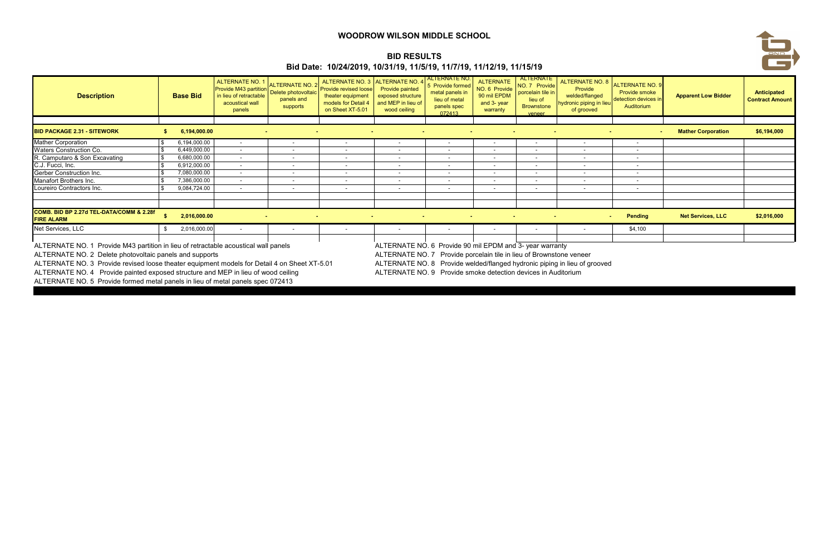# **BID RESULTS**

| <b>BID RESULTS</b><br>Bid Date: 10/24/2019, 10/31/19, 11/5/19, 11/7/19, 11/12/19, 11/15/19                                                                                                                                                                                                                                                                                                                                                                                                                                                                                                                                                                                                                                           |  |                 |                                                                                                               |                                                                         |                                                                                                                                 |                                                                                                                                 |                                                                                                      |                                                                             |                                                                                                  |                                                                                                    |                                                                              |                            | <b>AND</b><br>ا ک                     |  |
|--------------------------------------------------------------------------------------------------------------------------------------------------------------------------------------------------------------------------------------------------------------------------------------------------------------------------------------------------------------------------------------------------------------------------------------------------------------------------------------------------------------------------------------------------------------------------------------------------------------------------------------------------------------------------------------------------------------------------------------|--|-----------------|---------------------------------------------------------------------------------------------------------------|-------------------------------------------------------------------------|---------------------------------------------------------------------------------------------------------------------------------|---------------------------------------------------------------------------------------------------------------------------------|------------------------------------------------------------------------------------------------------|-----------------------------------------------------------------------------|--------------------------------------------------------------------------------------------------|----------------------------------------------------------------------------------------------------|------------------------------------------------------------------------------|----------------------------|---------------------------------------|--|
| <b>Description</b>                                                                                                                                                                                                                                                                                                                                                                                                                                                                                                                                                                                                                                                                                                                   |  | <b>Base Bid</b> | <b>ALTERNATE NO. 1</b><br><b>Provide M43 partition</b><br>in lieu of retractable<br>acoustical wall<br>panels | <b>ALTERNATE NO. 2</b><br>Delete photovoltaic<br>panels and<br>supports | ALTERNATE NO. 3 ALTERNATE NO. 4<br><b>Provide revised loose</b><br>theater equipment<br>models for Detail 4<br>on Sheet XT-5.01 | <b>Provide painted</b><br>exposed structure<br>and MEP in lieu of<br>wood ceiling                                               | <b>ALTERNATE NO</b><br>5 Provide formed<br>metal panels in<br>lieu of metal<br>panels spec<br>072413 | <b>ALTERNATE</b><br>NO. 6 Provide<br>90 mil EPDM<br>and 3- year<br>warranty | <b>ALTERNATE</b><br>NO. 7 Provide<br>porcelain tile in<br>lieu of<br><b>Brownstone</b><br>veneer | <b>ALTERNATE NO. 8</b><br>Provide<br>welded/flanged<br><b>ydronic piping in lieu</b><br>of grooved | <b>ALTERNATE NO. 9</b><br>Provide smoke<br>detection devices i<br>Auditorium | <b>Apparent Low Bidder</b> | Anticipated<br><b>Contract Amount</b> |  |
| <b>BID PACKAGE 2.31 - SITEWORK</b>                                                                                                                                                                                                                                                                                                                                                                                                                                                                                                                                                                                                                                                                                                   |  | 6,194,000.00    |                                                                                                               |                                                                         |                                                                                                                                 |                                                                                                                                 |                                                                                                      |                                                                             |                                                                                                  |                                                                                                    |                                                                              | <b>Mather Corporation</b>  | \$6,194,000                           |  |
| <b>Mather Corporation</b>                                                                                                                                                                                                                                                                                                                                                                                                                                                                                                                                                                                                                                                                                                            |  | 6.194.000.00    | $\sim$                                                                                                        |                                                                         | $\overline{\phantom{a}}$                                                                                                        | $\overline{\phantom{a}}$                                                                                                        | $\overline{\phantom{0}}$                                                                             | $\overline{\phantom{a}}$                                                    | $\sim$                                                                                           | $\sim$                                                                                             | $\overline{\phantom{a}}$                                                     |                            |                                       |  |
| <b>Waters Construction Co.</b>                                                                                                                                                                                                                                                                                                                                                                                                                                                                                                                                                                                                                                                                                                       |  | 6,449,000.00    | $\overline{\phantom{a}}$                                                                                      |                                                                         |                                                                                                                                 |                                                                                                                                 |                                                                                                      |                                                                             |                                                                                                  |                                                                                                    |                                                                              |                            |                                       |  |
| R. Camputaro & Son Excavating                                                                                                                                                                                                                                                                                                                                                                                                                                                                                                                                                                                                                                                                                                        |  | 6,680,000.00    | $\overline{a}$                                                                                                |                                                                         | $\overline{\phantom{0}}$                                                                                                        | $\overline{\phantom{a}}$                                                                                                        |                                                                                                      | $\sim$                                                                      | $\overline{\phantom{0}}$                                                                         | $\sim$                                                                                             | $\overline{\phantom{a}}$                                                     |                            |                                       |  |
| C.J. Fucci, Inc.                                                                                                                                                                                                                                                                                                                                                                                                                                                                                                                                                                                                                                                                                                                     |  | 6,912,000.00    | $\overline{\phantom{a}}$                                                                                      |                                                                         |                                                                                                                                 | $\overline{\phantom{a}}$                                                                                                        |                                                                                                      | $\sim$                                                                      | $\overline{\phantom{0}}$                                                                         |                                                                                                    | $\overline{\phantom{a}}$                                                     |                            |                                       |  |
| <b>Gerber Construction Inc.</b>                                                                                                                                                                                                                                                                                                                                                                                                                                                                                                                                                                                                                                                                                                      |  | 7,080,000.00    | $\sim$                                                                                                        |                                                                         | $\overline{\phantom{0}}$                                                                                                        | $\overline{\phantom{a}}$                                                                                                        |                                                                                                      | $\overline{\phantom{a}}$                                                    | $\sim$                                                                                           | $\overline{\phantom{0}}$                                                                           | $\overline{\phantom{a}}$                                                     |                            |                                       |  |
| Manafort Brothers Inc.                                                                                                                                                                                                                                                                                                                                                                                                                                                                                                                                                                                                                                                                                                               |  | 7,386,000.00    | $\overline{\phantom{a}}$                                                                                      |                                                                         |                                                                                                                                 |                                                                                                                                 |                                                                                                      |                                                                             |                                                                                                  |                                                                                                    | $\overline{\phantom{a}}$                                                     |                            |                                       |  |
| Loureiro Contractors Inc.                                                                                                                                                                                                                                                                                                                                                                                                                                                                                                                                                                                                                                                                                                            |  | 9,084,724.00    | $\overline{\phantom{a}}$                                                                                      |                                                                         |                                                                                                                                 | $\overline{\phantom{a}}$                                                                                                        |                                                                                                      |                                                                             |                                                                                                  | $\sim$                                                                                             | $\overline{\phantom{a}}$                                                     |                            |                                       |  |
| COMB. BID BP 2.27d TEL-DATA/COMM & 2.28f<br><b>FIRE ALARM</b>                                                                                                                                                                                                                                                                                                                                                                                                                                                                                                                                                                                                                                                                        |  | 2,016,000.00    |                                                                                                               |                                                                         |                                                                                                                                 |                                                                                                                                 |                                                                                                      |                                                                             |                                                                                                  |                                                                                                    | <b>Pending</b>                                                               | <b>Net Services, LLC</b>   | \$2,016,000                           |  |
| Net Services, LLC                                                                                                                                                                                                                                                                                                                                                                                                                                                                                                                                                                                                                                                                                                                    |  | 2,016,000.00    |                                                                                                               |                                                                         |                                                                                                                                 |                                                                                                                                 |                                                                                                      |                                                                             |                                                                                                  |                                                                                                    | \$4,100                                                                      |                            |                                       |  |
| ALTERNATE NO. 1 Provide M43 partition in lieu of retractable acoustical wall panels<br>ALTERNATE NO. 2 Delete photovoltaic panels and supports<br>ALTERNATE NO. 3 Provide revised loose theater equipment models for Detail 4 on Sheet XT-5.01<br>$\mathbf{A} \cdot \mathbf{A} = \mathbf{A} \cdot \mathbf{A} \cdot \mathbf{A} \cdot \mathbf{A} \cdot \mathbf{A} \cdot \mathbf{A} \cdot \mathbf{A} \cdot \mathbf{A} \cdot \mathbf{A} \cdot \mathbf{A} \cdot \mathbf{A} \cdot \mathbf{A} \cdot \mathbf{A} \cdot \mathbf{A} \cdot \mathbf{A} \cdot \mathbf{A} \cdot \mathbf{A} \cdot \mathbf{A} \cdot \mathbf{A} \cdot \mathbf{A} \cdot \mathbf{A} \cdot \mathbf{A} \cdot \mathbf{A} \cdot \mathbf{A} \cdot \mathbf{A} \cdot \mathbf{A$ |  |                 |                                                                                                               |                                                                         |                                                                                                                                 | ALTERNATE NO. 6 Provide 90 mil EPDM and 3- year warranty<br>ALTERNATE NO. 7 Provide porcelain tile in lieu of Brownstone veneer |                                                                                                      |                                                                             |                                                                                                  | ALTERNATE NO. 8 Provide welded/flanged hydronic piping in lieu of grooved                          |                                                                              |                            |                                       |  |

an an a

ALTERNATE NO. 4 Provide painted exposed structure and MEP in lieu of wood ceiling ALTERNATE NO. 9 Provide smoke detection devices in Auditorium<br>ALTERNATE NO. 5 Provide formed metal panels in lieu of metal panels